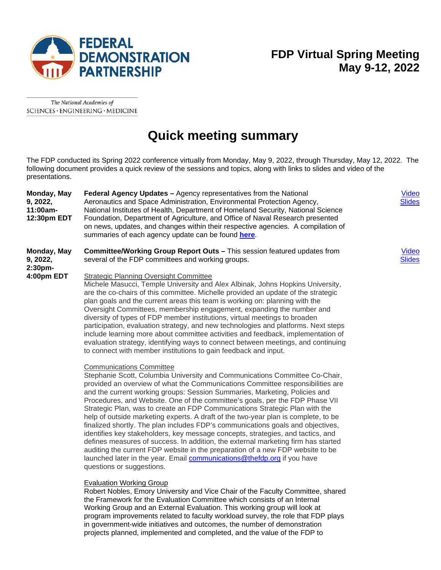

# **FDP Virtual Spring Meeting May 9-12, 2022**

The National Academies of SCIENCES · ENGINEERING · MEDICINE

# **Quick meeting summary**

The FDP conducted its Spring 2022 conference virtually from Monday, May 9, 2022, through Thursday, May 12, 2022. The following document provides a quick review of the sessions and topics, along with links to slides and video of the presentations.

| Monday, May<br>9, 2022,<br>11:00am-<br>12:30pm EDT | Federal Agency Updates - Agency representatives from the National<br>Aeronautics and Space Administration, Environmental Protection Agency,<br>National Institutes of Health, Department of Homeland Security, National Science<br>Foundation, Department of Agriculture, and Office of Naval Research presented<br>on news, updates, and changes within their respective agencies. A compilation of<br>summaries of each agency update can be found here.                                                                                                                                                                                                                                                                                                                                                                                                                                                                                                  | Vid<br><b>Slid</b>        |
|----------------------------------------------------|-------------------------------------------------------------------------------------------------------------------------------------------------------------------------------------------------------------------------------------------------------------------------------------------------------------------------------------------------------------------------------------------------------------------------------------------------------------------------------------------------------------------------------------------------------------------------------------------------------------------------------------------------------------------------------------------------------------------------------------------------------------------------------------------------------------------------------------------------------------------------------------------------------------------------------------------------------------|---------------------------|
| Monday, May<br>9, 2022,<br>2:30pm-<br>4:00pm EDT   | <b>Committee/Working Group Report Outs - This session featured updates from</b><br>several of the FDP committees and working groups.<br><b>Strategic Planning Oversight Committee</b>                                                                                                                                                                                                                                                                                                                                                                                                                                                                                                                                                                                                                                                                                                                                                                       | <u>Vid</u><br><b>Slid</b> |
|                                                    | Michele Masucci, Temple University and Alex Albinak, Johns Hopkins University,<br>are the co-chairs of this committee. Michelle provided an update of the strategic<br>plan goals and the current areas this team is working on: planning with the<br>Oversight Committees, membership engagement, expanding the number and<br>diversity of types of FDP member institutions, virtual meetings to broaden<br>participation, evaluation strategy, and new technologies and platforms. Next steps<br>include learning more about committee activities and feedback, implementation of<br>evaluation strategy, identifying ways to connect between meetings, and continuing<br>to connect with member institutions to gain feedback and input.                                                                                                                                                                                                                 |                           |
|                                                    | <b>Communications Committee</b><br>Stephanie Scott, Columbia University and Communications Committee Co-Chair,<br>provided an overview of what the Communications Committee responsibilities are<br>and the current working groups: Session Summaries, Marketing, Policies and<br>Procedures, and Website. One of the committee's goals, per the FDP Phase VII<br>Strategic Plan, was to create an FDP Communications Strategic Plan with the<br>help of outside marketing experts. A draft of the two-year plan is complete, to be<br>finalized shortly. The plan includes FDP's communications goals and objectives,<br>identifies key stakeholders, key message concepts, strategies, and tactics, and<br>defines measures of success. In addition, the external marketing firm has started<br>auditing the current FDP website in the preparation of a new FDP website to be<br>launched later in the year. Email communications@thefdp.org if you have |                           |

## Evaluation Working Group

questions or suggestions.

Robert Nobles, Emory University and Vice Chair of the Faculty Committee, shared the Framework for the Evaluation Committee which consists of an Internal Working Group and an External Evaluation. This working group will look at program improvements related to faculty workload survey, the role that FDP plays in government-wide initiatives and outcomes, the number of demonstration projects planned, implemented and completed, and the value of the FDP to

<u>eo</u> es

<u>eo</u> es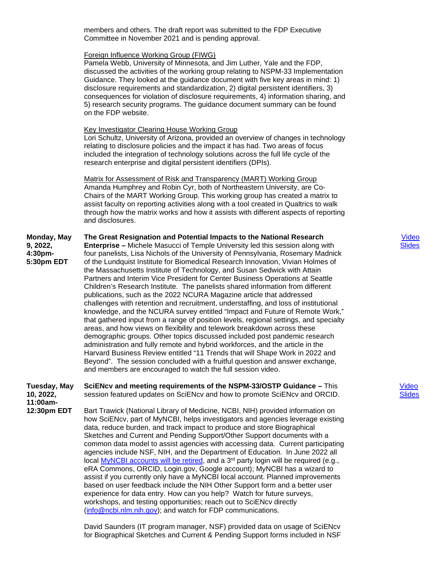members and others. The draft report was submitted to the FDP Executive Committee in November 2021 and is pending approval.

### Foreign Influence Working Group (FIWG)

Pamela Webb, University of Minnesota, and Jim Luther, Yale and the FDP, discussed the activities of the working group relating to NSPM-33 Implementation Guidance. They looked at the guidance document with five key areas in mind: 1) disclosure requirements and standardization, 2) digital persistent identifiers, 3) consequences for violation of disclosure requirements, 4) information sharing, and 5) research security programs. The guidance document summary can be found on the FDP website.

### Key Investigator Clearing House Working Group

Lori Schultz, University of Arizona, provided an overview of changes in technology relating to disclosure policies and the impact it has had. Two areas of focus included the integration of technology solutions across the full life cycle of the research enterprise and digital persistent identifiers (DPIs).

Matrix for Assessment of Risk and Transparency (MART) Working Group Amanda Humphrey and Robin Cyr, both of Northeastern University, are Co-Chairs of the MART Working Group. This working group has created a matrix to assist faculty on reporting activities along with a tool created in Qualtrics to walk through how the matrix works and how it assists with different aspects of reporting and disclosures.

#### **Monday, May 9, 2022, 4:30pm-5:30pm EDT The Great Resignation and Potential Impacts to the National Research Enterprise –** Michele Masucci of Temple University led this session along with four panelists, Lisa Nichols of the University of Pennsylvania, Rosemary Madnick of the Lundquist Institute for Biomedical Research Innovation, Vivian Holmes of the Massachusetts Institute of Technology, and Susan Sedwick with Attain

Partners and Interim Vice President for Center Business Operations at Seattle Children's Research Institute. The panelists shared information from different publications, such as the 2022 NCURA Magazine article that addressed challenges with retention and recruitment, understaffing, and loss of institutional knowledge, and the NCURA survey entitled "Impact and Future of Remote Work," that gathered input from a range of position levels, regional settings, and specialty areas, and how views on flexibility and telework breakdown across these demographic groups. Other topics discussed included post pandemic research administration and fully remote and hybrid workforces, and the article in the Harvard Business Review entitled "11 Trends that will Shape Work in 2022 and Beyond". The session concluded with a fruitful question and answer exchange, and members are encouraged to watch the full session video.

#### **Tuesday, May 10, 2022, SciENcv and meeting requirements of the NSPM-33/OSTP Guidance –** This session featured updates on SciENcv and how to promote SciENcv and ORCID.

**11:00am-**

**12:30pm EDT** Bart Trawick (National Library of Medicine, NCBI, NIH) provided information on how SciENcv, part of MyNCBI, helps investigators and agencies leverage existing data, reduce burden, and track impact to produce and store Biographical Sketches and Current and Pending Support/Other Support documents with a common data model to assist agencies with accessing data. Current participating agencies include NSF, NIH, and the Department of Education. In June 2022 all local [MyNCBI accounts will be retired,](https://ncbiinsights.ncbi.nlm.nih.gov/ncbi-login-retirement-faqs/) and a 3<sup>rd</sup> party login will be required (e.g., eRA Commons, ORCID, Login.gov, Google account); MyNCBI has a wizard to assist if you currently only have a MyNCBI local account. Planned improvements based on user feedback include the NIH Other Support form and a better user experience for data entry. How can you help? Watch for future surveys, workshops, and testing opportunities; reach out to SciENcv directly [\(info@ncbi.nlm.nih.gov\)](mailto:info@ncbi.nlm.nih.gov); and watch for FDP communications.

> David Saunders (IT program manager, NSF) provided data on usage of SciENcv for Biographical Sketches and Current & Pending Support forms included in NSF

## [Video](https://youtu.be/NXeWXA8lDu8) [Slides](https://thefdp.org/default/assets/File/FDP_Great%20Resignation-050922_v4.pdf)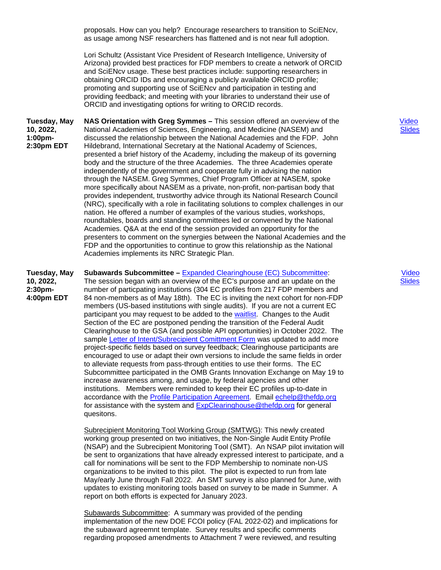proposals. How can you help? Encourage researchers to transition to SciENcv, as usage among NSF researchers has flattened and is not near full adoption.

Lori Schultz (Assistant Vice President of Research Intelligence, University of Arizona) provided best practices for FDP members to create a network of ORCID and SciENcv usage. These best practices include: supporting researchers in obtaining ORCID IDs and encouraging a publicly available ORCID profile; promoting and supporting use of SciENcv and participation in testing and providing feedback; and meeting with your libraries to understand their use of ORCID and investigating options for writing to ORCID records.

**Tuesday, May 10, 2022, 1:00pm-2:30pm EDT NAS Orientation with Greg Symmes –** This session offered an overview of the National Academies of Sciences, Engineering, and Medicine (NASEM) and discussed the relationship between the National Academies and the FDP. John Hildebrand, International Secretary at the National Academy of Sciences, presented a brief history of the Academy, including the makeup of its governing body and the structure of the three Academies. The three Academies operate independently of the government and cooperate fully in advising the nation through the NASEM. Greg Symmes, Chief Program Officer at NASEM, spoke more specifically about NASEM as a private, non-profit, non-partisan body that provides independent, trustworthy advice through its National Research Council (NRC), specifically with a role in facilitating solutions to complex challenges in our nation. He offered a number of examples of the various studies, workshops, roundtables, boards and standing committees led or convened by the National Academies. Q&A at the end of the session provided an opportunity for the presenters to comment on the synergies between the National Academies and the FDP and the opportunities to continue to grow this relationship as the National Academies implements its NRC Strategic Plan.

**Tuesday, May 10, 2022, Subawards Subcommittee –** [Expanded Clearinghouse \(EC\) Subcommittee:](https://thefdp.org/default/committees/research-administration/expanded-clearinghouse-subcommittee/expanded-clearinghouse-pilot-information-february-2016-june-2017/)

**2:30pm-4:00pm EDT** The session began with an overview of the EC's purpose and an update on the number of particpating institutions (304 EC profiles from 217 FDP members and 84 non-members as of May 18th). The EC is inviting the next cohort for non-FDP members (US-based institutions with single audits). If you are not a current EC participant you may request to be added to the [waitlist.](https://www.surveymonkey.com/r/DV7FF2S) Changes to the Audit Section of the EC are postponed pending the transition of the Federal Audit Clearinghouse to the GSA (and possible API opportunities) in October 2022. The sample [Letter of Intent/Subrecipient Comittment Form](https://thefdp.org/default/assets/File/FDP%20Expanded%20Clearinghouse%20Letter%20of%20Intent%20Sample%20(2022).pdf) was updated to add more project-specific fields based on survey feedback; Clearinghouse participants are encouraged to use or adapt their own versions to include the same fields in order to alleviate requests from pass-through entities to use their forms. The EC Subcommittee participated in the OMB Grants Innovation Exchange on May 19 to increase awareness among, and usage, by federal agencies and other institutions. Members were reminded to keep their EC profiles up-to-date in accordance with the [Profile Participation Agreement.](https://fdpclearinghouse.org/helpdocs/Profile_Participation_Agreement_May_2022.pdf) Email [echelp@thefdp.org](mailto:echelp@thefdp.org) for assistance with the system and [ExpClearinghouse@thefdp.org](mailto:ExpClearinghouse@thefdp.org) for general quesitons.

Subrecipient Monitoring Tool Working Group (SMTWG): This newly created working group presented on two initiatives, the Non-Single Audit Entity Profile (NSAP) and the Subrecipient Monitoring Tool (SMT). An NSAP pilot invitation will be sent to organizations that have already expressed interest to participate, and a call for nominations will be sent to the FDP Membership to nominate non-US organizations to be invited to this pilot. The pilot is expected to run from late May/early June through Fall 2022. An SMT survey is also planned for June, with updates to existing monitoring tools based on survey to be made in Summer. A report on both efforts is expected for January 2023.

Subawards Subcommittee: A summary was provided of the pending implementation of the new DOE FCOI policy (FAL 2022-02) and implications for the subaward agreemnt template. Survey results and specific comments regarding proposed amendments to Attachment 7 were reviewed, and resulting

 [Video](https://youtu.be/Ai2QGQkncPQ) [Slides](https://thefdp.org/default/assets/File/Symmes-Hildebrand%20to%20FDP%20May%2010%202022%20(1).pdf)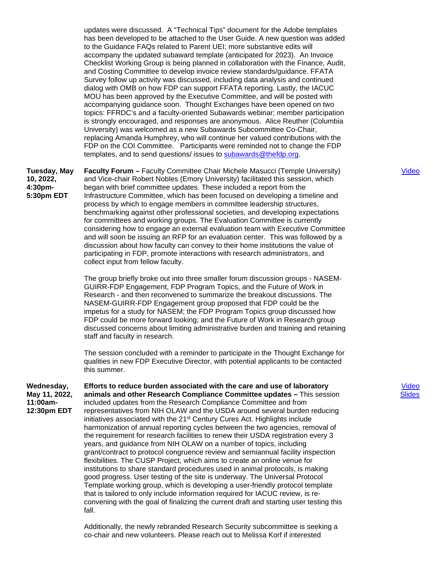updates were discussed. A "Technical Tips" document for the Adobe templates has been developed to be attached to the User Guide. A new question was added to the Guidance FAQs related to Parent UEI; more substantive edits will accompany the updated subaward template (anticipated for 2023). An Invoice Checklist Working Group is being planned in collaboration with the Finance, Audit, and Costing Committee to develop invoice review standards/guidance. FFATA Survey follow up activity was discussed, including data analysis and continued dialog with OMB on how FDP can support FFATA reporting. Lastly, the IACUC MOU has been approved by the Executive Committee, and will be posted with accompanying guidance soon. Thought Exchanges have been opened on two topics: FFRDC's and a faculty-oriented Subawards webinar; member participation is strongly encouraged, and responses are anonymous. Alice Reuther (Columbia University) was welcomed as a new Subawards Subcommittee Co-Chair, replacing Amanda Humphrey, who will continue her valued contributions with the FDP on the COI Committee. Participants were reminded not to change the FDP templates, and to send questions/ issues to [subawards@thefdp.org.](mailto:subawards@thefdp.org)

**Tuesday, May 10, 2022, 4:30pm-5:30pm EDT**

**Faculty Forum –** Faculty Committee Chair Michele Masucci (Temple University) and Vice-chair Robert Nobles (Emory University) facilitated this session, which began with brief committee updates. These included a report from the Infrastructure Committee, which has been focused on developing a timeline and process by which to engage members in committee leadership structures, benchmarking against other professional societies, and developing expectations for committees and working groups. The Evaluation Committee is currently considering how to engage an external evaluation team with Executive Committee and will soon be issuing an RFP for an evaluation center. This was followed by a discussion about how faculty can convey to their home institutions the value of participating in FDP, promote interactions with research administrators, and collect input from fellow faculty.

The group briefly broke out into three smaller forum discussion groups - NASEM-GUIRR-FDP Engagement, FDP Program Topics, and the Future of Work in Research - and then reconvened to summarize the breakout discussions. The NASEM-GUIRR-FDP Engagement group proposed that FDP could be the impetus for a study for NASEM; the FDP Program Topics group discussed how FDP could be more forward looking; and the Future of Work in Research group discussed concerns about limiting administrative burden and training and retaining staff and faculty in research.

The session concluded with a reminder to participate in the Thought Exchange for qualities in new FDP Executive Director, with potential applicants to be contacted this summer.

**Wednesday, May 11, 2022, 11:00am-12:30pm EDT Efforts to reduce burden associated with the care and use of laboratory animals and other Research Compliance Committee updates –** This session included updates from the Research Compliance Committee and from representatives from NIH OLAW and the USDA around several burden reducing initiatives associated with the 21<sup>st</sup> Century Cures Act. Highlights include harmonization of annual reporting cycles between the two agencies, removal of the requirement for research facilities to renew their USDA registration every 3 years, and guidance from NIH OLAW on a number of topics, including grant/contract to protocol congruence review and semiannual facility inspection flexibilities. The CUSP Project, which aims to create an online venue for institutions to share standard procedures used in animal protocols, is making good progress. User testing of the site is underway. The Universal Protocol Template working group, which is developing a user-friendly protocol template that is tailored to only include information required for IACUC review, is reconvening with the goal of finalizing the current draft and starting user testing this fall.

> Additionally, the newly rebranded Research Security subcommittee is seeking a co-chair and new volunteers. Please reach out to Melissa Korf if interested

[Video](https://youtu.be/QAFQj8JdMDU) [Slides](https://thefdp.org/default/assets/File/FDP_21CCA_and_RCC_Updates_May%202022.pdf)

[Video](https://youtu.be/aSzFatp2MwY)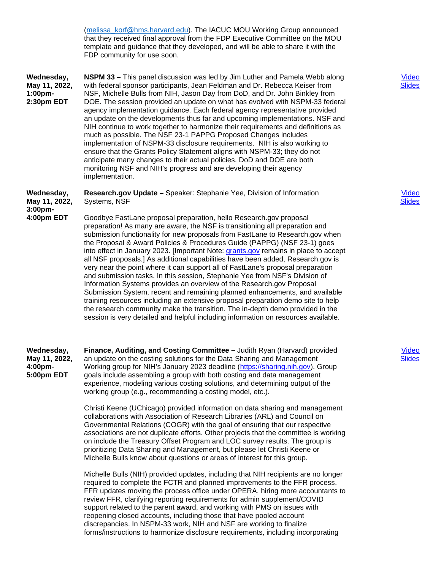[\(melissa\\_korf@hms.harvard.edu\)](mailto:melissa_korf@hms.harvard.edu). The IACUC MOU Working Group announced that they received final approval from the FDP Executive Committee on the MOU template and guidance that they developed, and will be able to share it with the FDP community for use soon. **Wednesday, May 11, 2022, 1:00pm-2:30pm EDT NSPM 33 –** This panel discussion was led by Jim Luther and Pamela Webb along with federal sponsor participants, Jean Feldman and Dr. Rebecca Keiser from NSF, Michelle Bulls from NIH, Jason Day from DoD, and Dr. John Binkley from DOE. The session provided an update on what has evolved with NSPM-33 federal agency implementation guidance. Each federal agency representative provided an update on the developments thus far and upcoming implementations. NSF and NIH continue to work together to harmonize their requirements and definitions as much as possible. The NSF 23-1 PAPPG Proposed Changes includes implementation of NSPM-33 disclosure requirements. NIH is also working to ensure that the Grants Policy Statement aligns with NSPM-33; they do not anticipate many changes to their actual policies. DoD and DOE are both monitoring NSF and NIH's progress and are developing their agency implementation. **Wednesday, May 11, 2022, 3:00pm-4:00pm EDT Research.gov Update –** Speaker: Stephanie Yee, Division of Information Systems, NSF Goodbye FastLane proposal preparation, hello Research.gov proposal preparation! As many are aware, the NSF is transitioning all preparation and submission functionality for new proposals from FastLane to Research.gov when the Proposal & Award Policies & Procedures Guide (PAPPG) (NSF 23-1) goes into effect in January 2023. [Important Note: [grants.gov](https://www.grants.gov/) remains in place to accept all NSF proposals.] As additional capabilities have been added, Research.gov is very near the point where it can support all of FastLane's proposal preparation and submission tasks. In this session, Stephanie Yee from NSF's Division of Information Systems provides an overview of the Research.gov Proposal Submission System, recent and remaining planned enhancements, and available training resources including an extensive proposal preparation demo site to help the research community make the transition. The in-depth demo provided in the session is very detailed and helpful including information on resources available. **Wednesday, May 11, 2022, 4:00pm-5:00pm EDT Finance, Auditing, and Costing Committee –** Judith Ryan (Harvard) provided an update on the costing solutions for the Data Sharing and Management Working group for NIH's January 2023 deadline [\(https://sharing.nih.gov\)](https://sharing.nih.gov/). Group goals include assembling a group with both costing and data management experience, modeling various costing solutions, and determining output of the working group (e.g., recommending a costing model, etc.). Christi Keene (UChicago) provided information on data sharing and management collaborations with Association of Research Libraries (ARL) and Council on Governmental Relations (COGR) with the goal of ensuring that our respective associations are not duplicate efforts. Other projects that the committee is working on include the Treasury Offset Program and LOC survey results. The group is prioritizing Data Sharing and Management, but please let Christi Keene or Michelle Bulls know about questions or areas of interest for this group. Michelle Bulls (NIH) provided updates, including that NIH recipients are no longer required to complete the FCTR and planned improvements to the FFR process. FFR updates moving the process office under OPERA, hiring more accountants to review FFR, clarifying reporting requirements for admin supplement/COVID support related to the parent award, and working with PMS on issues with reopening closed accounts, including those that have pooled account discrepancies. In NSPM-33 work, NIH and NSF are working to finalize forms/instructions to harmonize disclosure requirements, including incorporating

[Video](https://youtu.be/vVkCTJMfQB4) [Slides](https://thefdp.org/default/assets/File/FDP%20NSPM%2033%20Panel%20-%20Jean.pdf)

[Video](https://youtu.be/vKVpA9Eexjo) [Slides](https://thefdp.org/default/assets/File/Rgov%20Update_FDP_5-11-22_Final_v3.pdf)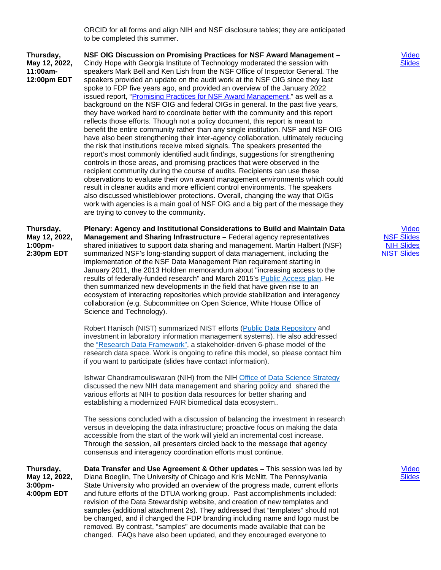ORCID for all forms and align NIH and NSF disclosure tables; they are anticipated to be completed this summer.

**Thursday, May 12, 2022, 11:00am-12:00pm EDT** **NSF OIG Discussion on Promising Practices for NSF Award Management –** Cindy Hope with Georgia Institute of Technology moderated the session with speakers Mark Bell and Ken Lish from the NSF Office of Inspector General. The speakers provided an update on the audit work at the NSF OIG since they last spoke to FDP five years ago, and provided an overview of the January 2022 issued report, ["Promising Practices for NSF Award Management,](https://oig.nsf.gov/sites/default/files/reports/2022-01/22-6-002-Promising-Practices-NSF-Award-ManagementRedacted.pdf)" as well as a background on the NSF OIG and federal OIGs in general. In the past five years, they have worked hard to coordinate better with the community and this report reflects those efforts. Though not a policy document, this report is meant to benefit the entire community rather than any single institution. NSF and NSF OIG have also been strengthening their inter-agency collaboration, ultimately reducing the risk that institutions receive mixed signals. The speakers presented the report's most commonly identified audit findings, suggestions for strengthening controls in those areas, and promising practices that were observed in the recipient community during the course of audits. Recipients can use these observations to evaluate their own award management environments which could result in cleaner audits and more efficient control environments. The speakers also discussed whistleblower protections. Overall, changing the way that OIGs work with agencies is a main goal of NSF OIG and a big part of the message they are trying to convey to the community.

**Thursday, May 12, 2022, 1:00pm-2:30pm EDT Plenary: Agency and Institutional Considerations to Build and Maintain Data Management and Sharing Infrastructure –** Federal agency representatives shared initiatives to support data sharing and management. Martin Halbert (NSF) summarized NSF's long-standing support of data management, including the implementation of the NSF Data Management Plan requirement starting in January 2011, the 2013 Holdren memorandum about "increasing access to the results of federally-funded research" and March 2015's [Public Access plan.](https://www.nsf.gov/publications/pub_summ.jsp?ods_key=nsf15052) He then summarized new developments in the field that have given rise to an ecosystem of interacting repositories which provide stabilization and interagency collaboration (e.g. Subcommittee on Open Science, White House Office of Science and Technology).

> Robert Hanisch (NIST) summarized NIST efforts [\(Public Data Repository](https://data.nist.gov/sdp/#/) and investment in laboratory information management systems). He also addressed the ["Research Data Framework",](https://doi.org/10.6028/NIST.SP.1500-18) a stakeholder-driven 6-phase model of the research data space. Work is ongoing to refine this model, so please contact him if you want to participate (slides have contact information).

> Ishwar Chandramouliswaran (NIH) from the NIH [Office of Data Science Strategy](https://datascience.nih.gov/) discussed the new NIH data management and sharing policy and shared the various efforts at NIH to position data resources for better sharing and establishing a modernized FAIR biomedical data ecosystem..

The sessions concluded with a discussion of balancing the investment in research versus in developing the data infrastructure; proactive focus on making the data accessible from the start of the work will yield an incremental cost increase. Through the session, all presenters circled back to the message that agency consensus and interagency coordination efforts must continue.

**Thursday, May 12, 2022, 3:00pm-4:00pm EDT Data Transfer and Use Agreement & Other updates –** This session was led by Diana Boeglin, The University of Chicago and Kris McNitt, The Pennsylvania State University who provided an overview of the progress made, current efforts and future efforts of the DTUA working group. Past accomplishments included: revision of the Data Stewardship website, and creation of new templates and samples (additional attachment 2s). They addressed that "templates" should not be changed, and if changed the FDP branding including name and logo must be removed. By contrast, "samples" are documents made available that can be changed. FAQs have also been updated, and they encouraged everyone to

[Video](https://youtu.be/VIZZCV1GhyA) [Slides](https://thefdp.org/default/assets/File/FDP%20Presentation%202022%20.pdf)

[Video](https://youtu.be/fdZPJCNX8HA) [NSF Slides](https://thefdp.org/default/assets/File/NSF-FDP-2022-05-12.pdf) [NIH Slides](https://thefdp.org/default/assets/File/FDP%20May%20Meeting%20Talk%20Chandramouliswaran.pdf) [NIST Slides](https://thefdp.org/default/assets/File/RDaF%20for%20FDP.pdf)